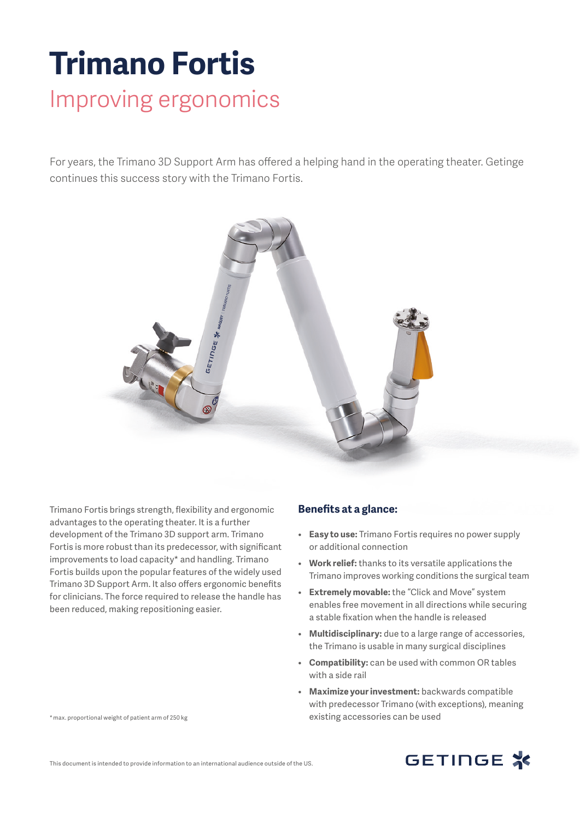## **Trimano Fortis** Improving ergonomics

For years, the Trimano 3D Support Arm has offered a helping hand in the operating theater. Getinge continues this success story with the Trimano Fortis.



Trimano Fortis brings strength, flexibility and ergonomic advantages to the operating theater. It is a further development of the Trimano 3D support arm. Trimano Fortis is more robust than its predecessor, with significant improvements to load capacity\* and handling. Trimano Fortis builds upon the popular features of the widely used Trimano 3D Support Arm. It also offers ergonomic benefits for clinicians. The force required to release the handle has been reduced, making repositioning easier.

## **Benefits at a glance:**

- **Easy to use:** Trimano Fortis requires no power supply or additional connection
- **Work relief:** thanks to its versatile applications the Trimano improves working conditions the surgical team
- **Extremely movable:** the "Click and Move" system enables free movement in all directions while securing a stable fixation when the handle is released
- **Multidisciplinary:** due to a large range of accessories, the Trimano is usable in many surgical disciplines
- **Compatibility:** can be used with common OR tables with a side rail
- **Maximize your investment:** backwards compatible with predecessor Trimano (with exceptions), meaning existing accessories can be used

|  | * max. proportional weight of patient arm of 250 kg |
|--|-----------------------------------------------------|
|--|-----------------------------------------------------|